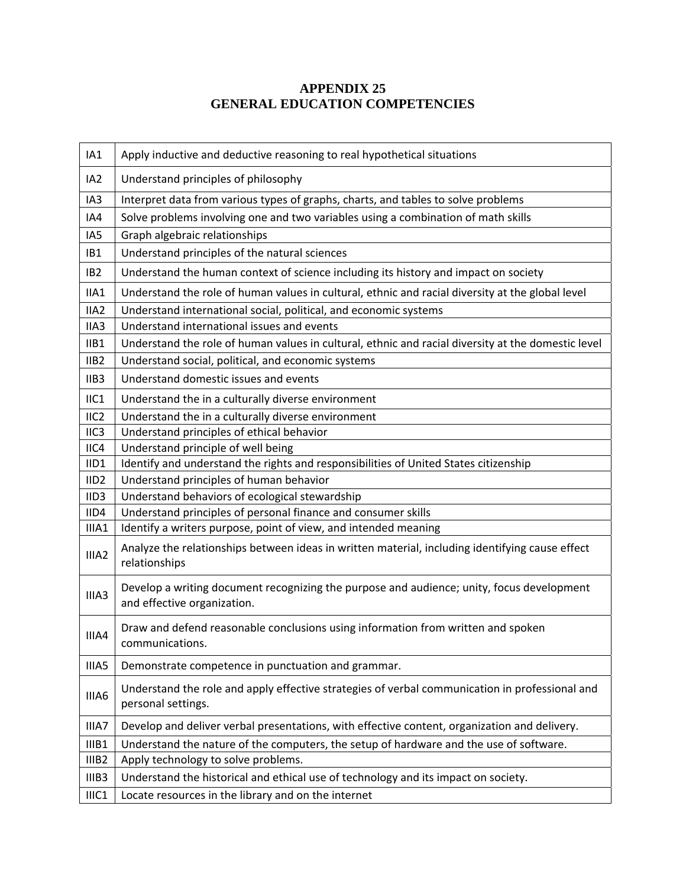## **APPENDIX 25 GENERAL EDUCATION COMPETENCIES**

| IA1               | Apply inductive and deductive reasoning to real hypothetical situations                                                  |
|-------------------|--------------------------------------------------------------------------------------------------------------------------|
| IA <sub>2</sub>   | Understand principles of philosophy                                                                                      |
| IA3               | Interpret data from various types of graphs, charts, and tables to solve problems                                        |
| IA4               | Solve problems involving one and two variables using a combination of math skills                                        |
| IA <sub>5</sub>   | Graph algebraic relationships                                                                                            |
| IB1               | Understand principles of the natural sciences                                                                            |
| IB <sub>2</sub>   | Understand the human context of science including its history and impact on society                                      |
| IIA1              | Understand the role of human values in cultural, ethnic and racial diversity at the global level                         |
| IIA <sub>2</sub>  | Understand international social, political, and economic systems                                                         |
| IIA3              | Understand international issues and events                                                                               |
| IIB1              | Understand the role of human values in cultural, ethnic and racial diversity at the domestic level                       |
| IIB <sub>2</sub>  | Understand social, political, and economic systems                                                                       |
| IIB3              | Understand domestic issues and events                                                                                    |
| IIC1              | Understand the in a culturally diverse environment                                                                       |
| IIC <sub>2</sub>  | Understand the in a culturally diverse environment                                                                       |
| IIC <sub>3</sub>  | Understand principles of ethical behavior                                                                                |
| IICA              | Understand principle of well being                                                                                       |
| IID1              | Identify and understand the rights and responsibilities of United States citizenship                                     |
| IID <sub>2</sub>  | Understand principles of human behavior                                                                                  |
| IID <sub>3</sub>  | Understand behaviors of ecological stewardship                                                                           |
| IID4              | Understand principles of personal finance and consumer skills                                                            |
| IIIA1             | Identify a writers purpose, point of view, and intended meaning                                                          |
| IIIA2             | Analyze the relationships between ideas in written material, including identifying cause effect<br>relationships         |
| IIIA <sub>3</sub> | Develop a writing document recognizing the purpose and audience; unity, focus development<br>and effective organization. |
| IIIA4             | Draw and defend reasonable conclusions using information from written and spoken<br>communications.                      |
| IIIA5             | Demonstrate competence in punctuation and grammar.                                                                       |
| IIIA6             | Understand the role and apply effective strategies of verbal communication in professional and<br>personal settings.     |
| IIIA7             | Develop and deliver verbal presentations, with effective content, organization and delivery.                             |
| IIIB1             | Understand the nature of the computers, the setup of hardware and the use of software.                                   |
| IIIB <sub>2</sub> | Apply technology to solve problems.                                                                                      |
| IIIB3             | Understand the historical and ethical use of technology and its impact on society.                                       |
| IIIC1             | Locate resources in the library and on the internet                                                                      |